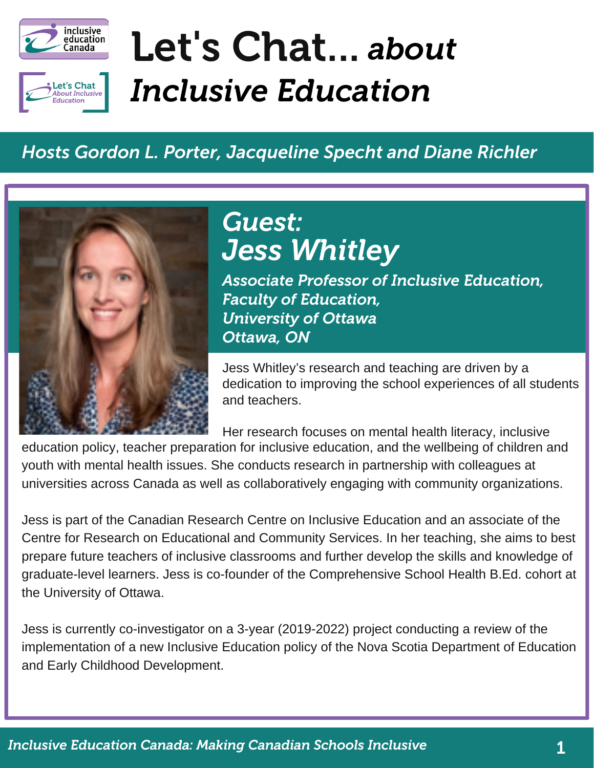



# Let's Chat... *about Inclusive Education*

#### *Hosts Gordon L. Porter, Jacqueline Specht and Diane Richler*



*Jess Whitley Guest:*

*Associate Professor of Inclusive Education, Faculty of Education, University of Ottawa Ottawa, ON*

Jess Whitley's research and teaching are driven by a dedication to improving the school experiences of all students and teachers.

Her research focuses on mental health literacy, inclusive education policy, teacher preparation for inclusive education, and the wellbeing of children and youth with mental health issues. She conducts research in partnership with colleagues at universities across Canada as well as collaboratively engaging with community organizations.

Jess is part of the Canadian Research Centre on Inclusive Education and an associate of the Centre for Research on Educational and Community Services. In her teaching, she aims to best prepare future teachers of inclusive classrooms and further develop the skills and knowledge of graduate-level learners. Jess is co-founder of the Comprehensive School Health B.Ed. cohort at the University of Ottawa.

Jess is currently co-investigator on a 3-year (2019-2022) project conducting a review of the implementation of a new [Inclusive Education policy](https://www.ednet.ns.ca/docs/inclusiveeducationpolicyen.pdf) of the Nova Scotia Department of Education and Early Childhood Development.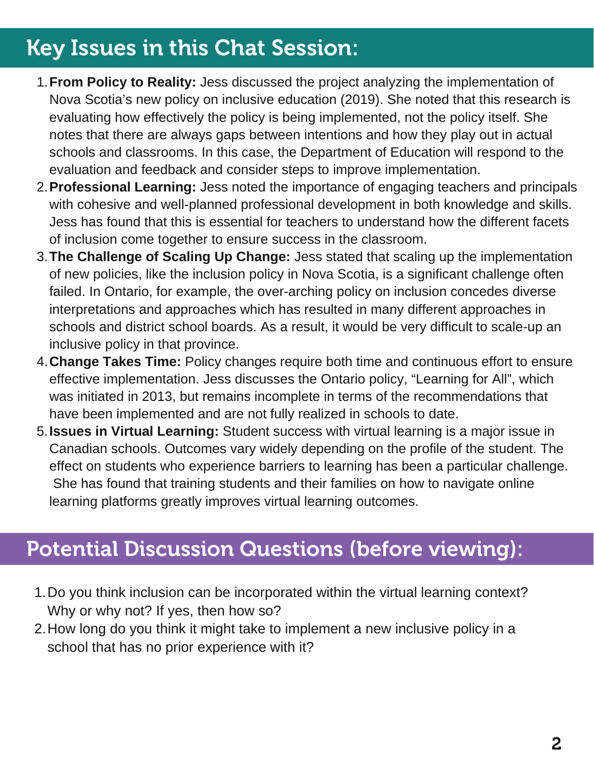### Key Issues in this Chat Session:

- **From Policy to Reality:** Jess discussed the project analyzing the implementation of 1. Nova Scotia's new policy on inclusive education (2019). She noted that this research is evaluating how effectively the policy is being implemented, not the policy itself. She notes that there are always gaps between intentions and how they play out in actual schools and classrooms. In this case, the Department of Education will respond to the evaluation and feedback and consider steps to improve implementation.
- **Professional Learning:** Jess noted the importance of engaging teachers and principals 2. with cohesive and well-planned professional development in both knowledge and skills. Jess has found that this is essential for teachers to understand how the different facets of inclusion come together to ensure success in the classroom.
- **The Challenge of Scaling Up Change:** Jess stated that scaling up the implementation 3. of new policies, like the inclusion policy in Nova Scotia, is a significant challenge often failed. In Ontario, for example, the over-arching policy on inclusion concedes diverse interpretations and approaches which has resulted in many different approaches in schools and district school boards. As a result, it would be very difficult to scale-up an inclusive policy in that province.
- **Change Takes Time:** Policy changes require both time and continuous effort to ensure 4. effective implementation. Jess discusses the Ontario policy, "Learning for All", which was initiated in 2013, but remains incomplete in terms of the recommendations that have been implemented and are not fully realized in schools to date.
- **Issues in Virtual Learning:** Student success with virtual learning is a major issue in 5. Canadian schools. Outcomes vary widely depending on the profile of the student. The effect on students who experience barriers to learning has been a particular challenge. She has found that training students and their families on how to navigate online learning platforms greatly improves virtual learning outcomes.

#### Potential Discussion Questions (before viewing):

- 1. Do you think inclusion can be incorporated within the virtual learning context? Why or why not? If yes, then how so?
- 2. How long do you think it might take to implement a new inclusive policy in a school that has no prior experience with it?